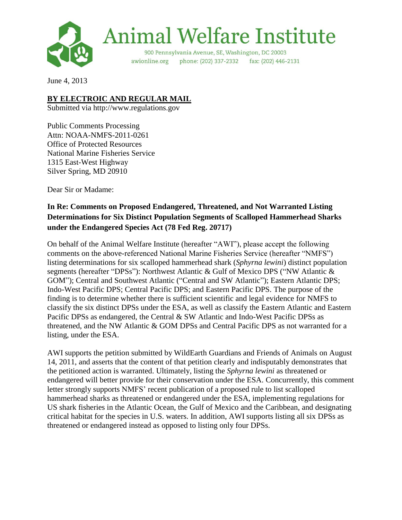

June 4, 2013

## **BY ELECTROIC AND REGULAR MAIL**

Submitted via http://www.regulations.gov

Public Comments Processing Attn: NOAA-NMFS-2011-0261 Office of Protected Resources National Marine Fisheries Service 1315 East-West Highway Silver Spring, MD 20910

Dear Sir or Madame:

# **In Re: Comments on Proposed Endangered, Threatened, and Not Warranted Listing Determinations for Six Distinct Population Segments of Scalloped Hammerhead Sharks under the Endangered Species Act (78 Fed Reg. 20717)**

On behalf of the Animal Welfare Institute (hereafter "AWI"), please accept the following comments on the above-referenced National Marine Fisheries Service (hereafter "NMFS") listing determinations for six scalloped hammerhead shark (*Sphyrna lewini*) distinct population segments (hereafter "DPSs"): Northwest Atlantic & Gulf of Mexico DPS ("NW Atlantic & GOM"); Central and Southwest Atlantic ("Central and SW Atlantic"); Eastern Atlantic DPS; Indo-West Pacific DPS; Central Pacific DPS; and Eastern Pacific DPS. The purpose of the finding is to determine whether there is sufficient scientific and legal evidence for NMFS to classify the six distinct DPSs under the ESA, as well as classify the Eastern Atlantic and Eastern Pacific DPSs as endangered, the Central & SW Atlantic and Indo-West Pacific DPSs as threatened, and the NW Atlantic & GOM DPSs and Central Pacific DPS as not warranted for a listing, under the ESA.

AWI supports the petition submitted by WildEarth Guardians and Friends of Animals on August 14, 2011, and asserts that the content of that petition clearly and indisputably demonstrates that the petitioned action is warranted. Ultimately, listing the *Sphyrna lewini* as threatened or endangered will better provide for their conservation under the ESA. Concurrently, this comment letter strongly supports NMFS' recent publication of a proposed rule to list scalloped hammerhead sharks as threatened or endangered under the ESA, implementing regulations for US shark fisheries in the Atlantic Ocean, the Gulf of Mexico and the Caribbean, and designating critical habitat for the species in U.S. waters. In addition, AWI supports listing all six DPSs as threatened or endangered instead as opposed to listing only four DPSs.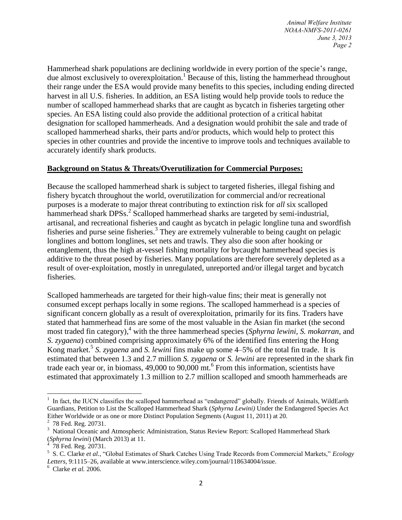*Animal Welfare Institute NOAA-NMFS-2011-0261 June 3, 2013 Page 2*

Hammerhead shark populations are declining worldwide in every portion of the specie's range, due almost exclusively to overexploitation.<sup>1</sup> Because of this, listing the hammerhead throughout their range under the ESA would provide many benefits to this species, including ending directed harvest in all U.S. fisheries. In addition, an ESA listing would help provide tools to reduce the number of scalloped hammerhead sharks that are caught as bycatch in fisheries targeting other species. An ESA listing could also provide the additional protection of a critical habitat designation for scalloped hammerheads. And a designation would prohibit the sale and trade of scalloped hammerhead sharks, their parts and/or products, which would help to protect this species in other countries and provide the incentive to improve tools and techniques available to accurately identify shark products.

#### **Background on Status & Threats/Overutilization for Commercial Purposes:**

Because the scalloped hammerhead shark is subject to targeted fisheries, illegal fishing and fishery bycatch throughout the world, overutilization for commercial and/or recreational purposes is a moderate to major threat contributing to extinction risk for *all* six scalloped hammerhead shark DPSs.<sup>2</sup> Scalloped hammerhead sharks are targeted by semi-industrial, artisanal, and recreational fisheries and caught as bycatch in pelagic longline tuna and swordfish fisheries and purse seine fisheries.<sup>3</sup> They are extremely vulnerable to being caught on pelagic longlines and bottom longlines, set nets and trawls. They also die soon after hooking or entanglement, thus the high at-vessel fishing mortality for bycaught hammerhead species is additive to the threat posed by fisheries. Many populations are therefore severely depleted as a result of over-exploitation, mostly in unregulated, unreported and/or illegal target and bycatch fisheries.

Scalloped hammerheads are targeted for their high-value fins; their meat is generally not consumed except perhaps locally in some regions. The scalloped hammerhead is a species of significant concern globally as a result of overexploitation, primarily for its fins. Traders have stated that hammerhead fins are some of the most valuable in the Asian fin market (the second most traded fin category),<sup>4</sup> with the three hammerhead species (*Sphyrna lewini, S. mokarran,* and *S. zygaena*) combined comprising approximately 6% of the identified fins entering the Hong Kong market.<sup>5</sup> *S. zygaena* and *S. lewini* fins make up some 4–5% of the total fin trade. It is estimated that between 1.3 and 2.7 million *S. zygaena* or *S. lewini* are represented in the shark fin trade each year or, in biomass, 49,000 to 90,000 mt.<sup>6</sup> From this information, scientists have estimated that approximately 1.3 million to 2.7 million scalloped and smooth hammerheads are

 $\overline{\phantom{a}}$ 

 $<sup>1</sup>$  In fact, the IUCN classifies the scalloped hammerhead as "endangered" globally. Friends of Animals, WildEarth</sup> Guardians, Petition to List the Scalloped Hammerhead Shark (*Sphyrna Lewini)* Under the Endangered Species Act Either Worldwide or as one or more Distinct Population Segments (August 11, 2011) at 20.

 $2\,$  78 Fed. Reg. 20731.

<sup>&</sup>lt;sup>3</sup> National Oceanic and Atmospheric Administration, Status Review Report: Scalloped Hammerhead Shark (*Sphyrna lewini*) (March 2013) at 11. 4 78 Fed. Reg. 20731.

<sup>5</sup> S. C. Clarke *et al.*, "Global Estimates of Shark Catches Using Trade Records from Commercial Markets," *Ecology Letters*, 9:1115–26, available at www.interscience.wiley.com/journal/118634004/issue.

<sup>6</sup> Clarke *et al.* 2006.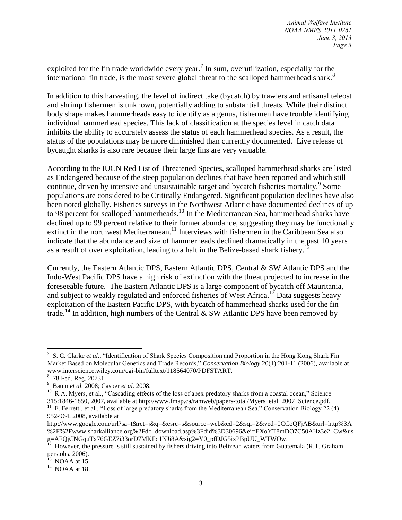exploited for the fin trade worldwide every year.<sup>7</sup> In sum, overutilization, especially for the international fin trade, is the most severe global threat to the scalloped hammerhead shark.<sup>8</sup>

In addition to this harvesting, the level of indirect take (bycatch) by trawlers and artisanal teleost and shrimp fishermen is unknown, potentially adding to substantial threats. While their distinct body shape makes hammerheads easy to identify as a genus, fishermen have trouble identifying individual hammerhead species. This lack of classification at the species level in catch data inhibits the ability to accurately assess the status of each hammerhead species. As a result, the status of the populations may be more diminished than currently documented. Live release of bycaught sharks is also rare because their large fins are very valuable.

According to the IUCN Red List of Threatened Species, scalloped hammerhead sharks are listed as Endangered because of the steep population declines that have been reported and which still continue, driven by intensive and unsustainable target and bycatch fisheries mortality.<sup>9</sup> Some populations are considered to be Critically Endangered. Significant population declines have also been noted globally. Fisheries surveys in the Northwest Atlantic have documented declines of up to 98 percent for scalloped hammerheads.<sup>10</sup> In the Mediterranean Sea, hammerhead sharks have declined up to 99 percent relative to their former abundance, suggesting they may be functionally extinct in the northwest Mediterranean.<sup>11</sup> Interviews with fishermen in the Caribbean Sea also indicate that the abundance and size of hammerheads declined dramatically in the past 10 years as a result of over exploitation, leading to a halt in the Belize-based shark fishery.<sup>12</sup>

Currently, the Eastern Atlantic DPS, Eastern Atlantic DPS, Central & SW Atlantic DPS and the Indo-West Pacific DPS have a high risk of extinction with the threat projected to increase in the foreseeable future. The Eastern Atlantic DPS is a large component of bycatch off Mauritania, and subject to weakly regulated and enforced fisheries of West Africa.<sup>13</sup> Data suggests heavy exploitation of the Eastern Pacific DPS, with bycatch of hammerhead sharks used for the fin trade.<sup>14</sup> In addition, high numbers of the Central & SW Atlantic DPS have been removed by

 $\overline{\phantom{a}}$ <sup>7</sup> S. C. Clarke *et al.*, "Identification of Shark Species Composition and Proportion in the Hong Kong Shark Fin Market Based on Molecular Genetics and Trade Records," *Conservation Biology* 20(1):201-11 (2006), available at www.interscience.wiley.com/cgi-bin/fulltext/118564070/PDFSTART.

<sup>&</sup>lt;sup>8</sup> 78 Fed. Reg. 20731.

<sup>9</sup> Baum *et al.* 2008; Casper *et al.* 2008.

<sup>&</sup>lt;sup>10</sup> R.A. Myers, et al., "Cascading effects of the loss of apex predatory sharks from a coastal ocean," Science 315:1846-1850, 2007, available at http://www.fmap.ca/ramweb/papers-total/Myers\_etal\_2007\_Science.pdf.

<sup>&</sup>lt;sup>11</sup> F. Ferretti, et al., "Loss of large predatory sharks from the Mediterranean Sea," Conservation Biology 22 (4): 952-964, 2008, available at

http://www.google.com/url?sa=t&rct=j&q=&esrc=s&source=web&cd=2&sqi=2&ved=0CCoQFjAB&url=http%3A %2F%2Fwww.sharkalliance.org%2Fdo\_download.asp%3Fdid%3D30696&ei=EXoYT8mDO7C50AHz3e2\_Cw&us g=AFQjCNGquTx76GEZ7i33orD7MKFq1NJi8A&sig2=Y0\_pfDJG5ixPBpUU\_WTWOw.<br><sup>12</sup> However, the pressure is still sustained by fishers driving into Belizean waters from Guatemala (R.T. Graham

pers.obs. 2006).<br><sup>13</sup> NOAA at 15.

<sup>&</sup>lt;sup>14</sup> NOAA at 18.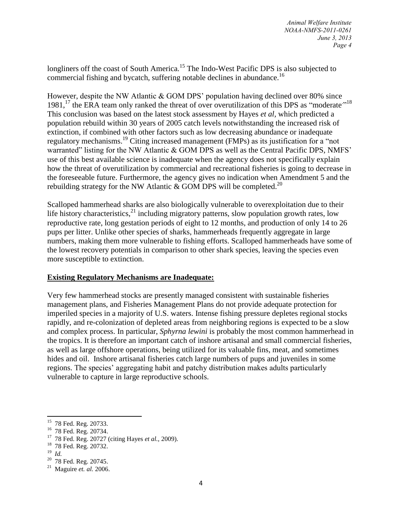longliners off the coast of South America.<sup>15</sup> The Indo-West Pacific DPS is also subjected to commercial fishing and bycatch, suffering notable declines in abundance.<sup>16</sup>

However, despite the NW Atlantic & GOM DPS' population having declined over 80% since 1981,<sup>17</sup> the ERA team only ranked the threat of over overutilization of this DPS as "moderate"<sup>18</sup> This conclusion was based on the latest stock assessment by Hayes *et al,* which predicted a population rebuild within 30 years of 2005 catch levels notwithstanding the increased risk of extinction, if combined with other factors such as low decreasing abundance or inadequate regulatory mechanisms.<sup>19</sup> Citing increased management (FMPs) as its justification for a "not warranted" listing for the NW Atlantic & GOM DPS as well as the Central Pacific DPS, NMFS' use of this best available science is inadequate when the agency does not specifically explain how the threat of overutilization by commercial and recreational fisheries is going to decrease in the foreseeable future. Furthermore, the agency gives no indication when Amendment 5 and the rebuilding strategy for the NW Atlantic & GOM DPS will be completed.<sup>20</sup>

Scalloped hammerhead sharks are also biologically vulnerable to overexploitation due to their life history characteristics,  $^{21}$  including migratory patterns, slow population growth rates, low reproductive rate, long gestation periods of eight to 12 months, and production of only 14 to 26 pups per litter. Unlike other species of sharks, hammerheads frequently aggregate in large numbers, making them more vulnerable to fishing efforts. Scalloped hammerheads have some of the lowest recovery potentials in comparison to other shark species, leaving the species even more susceptible to extinction.

### **Existing Regulatory Mechanisms are Inadequate:**

Very few hammerhead stocks are presently managed consistent with sustainable fisheries management plans, and Fisheries Management Plans do not provide adequate protection for imperiled species in a majority of U.S. waters. Intense fishing pressure depletes regional stocks rapidly, and re-colonization of depleted areas from neighboring regions is expected to be a slow and complex process. In particular, *Sphyrna lewini* is probably the most common hammerhead in the tropics. It is therefore an important catch of inshore artisanal and small commercial fisheries, as well as large offshore operations, being utilized for its valuable fins, meat, and sometimes hides and oil. Inshore artisanal fisheries catch large numbers of pups and juveniles in some regions. The species' aggregating habit and patchy distribution makes adults particularly vulnerable to capture in large reproductive schools.

- <sup>18</sup> 78 Fed. Reg. 20732.
- 19 *Id.*
- $20$  78 Fed. Reg. 20745.

 15 78 Fed. Reg. 20733.

<sup>&</sup>lt;sup>16</sup> 78 Fed. Reg. 20734.

<sup>17</sup> 78 Fed. Reg. 20727 (citing Hayes *et al.,* 2009).

<sup>21</sup> Maguire *et. al.* 2006.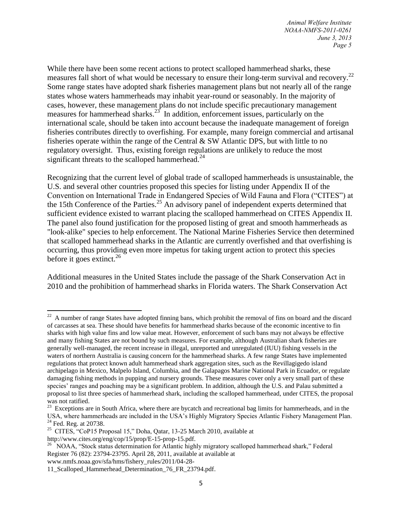*Animal Welfare Institute NOAA-NMFS-2011-0261 June 3, 2013 Page 5*

While there have been some recent actions to protect scalloped hammerhead sharks, these measures fall short of what would be necessary to ensure their long-term survival and recovery.<sup>22</sup> Some range states have adopted shark fisheries management plans but not nearly all of the range states whose waters hammerheads may inhabit year-round or seasonably. In the majority of cases, however, these management plans do not include specific precautionary management measures for hammerhead sharks. $23^{\circ}$  In addition, enforcement issues, particularly on the international scale, should be taken into account because the inadequate management of foreign fisheries contributes directly to overfishing. For example, many foreign commercial and artisanal fisheries operate within the range of the Central & SW Atlantic DPS, but with little to no regulatory oversight. Thus, existing foreign regulations are unlikely to reduce the most significant threats to the scalloped hammerhead. $^{24}$ 

Recognizing that the current level of global trade of scalloped hammerheads is unsustainable, the U.S. and several other countries proposed this species for listing under Appendix II of the Convention on International Trade in Endangered Species of Wild Fauna and Flora ("CITES") at the 15th Conference of the Parties.<sup>25</sup> An advisory panel of independent experts determined that sufficient evidence existed to warrant placing the scalloped hammerhead on CITES Appendix II. The panel also found justification for the proposed listing of great and smooth hammerheads as "look-alike" species to help enforcement. The National Marine Fisheries Service then determined that scalloped hammerhead sharks in the Atlantic are currently overfished and that overfishing is occurring, thus providing even more impetus for taking urgent action to protect this species before it goes extinct.<sup>26</sup>

Additional measures in the United States include the passage of the Shark Conservation Act in 2010 and the prohibition of hammerhead sharks in Florida waters. The Shark Conservation Act

http://www.cites.org/eng/cop/15/prop/E-15-prop-15.pdf.

l

 $22$  A number of range States have adopted finning bans, which prohibit the removal of fins on board and the discard of carcasses at sea. These should have benefits for hammerhead sharks because of the economic incentive to fin sharks with high value fins and low value meat. However, enforcement of such bans may not always be effective and many fishing States are not bound by such measures. For example, although Australian shark fisheries are generally well-managed, the recent increase in illegal, unreported and unregulated (IUU) fishing vessels in the waters of northern Australia is causing concern for the hammerhead sharks. A few range States have implemented regulations that protect known adult hammerhead shark aggregation sites, such as the Revillagigedo island archipelago in Mexico, Malpelo Island, Columbia, and the Galapagos Marine National Park in Ecuador, or regulate damaging fishing methods in pupping and nursery grounds. These measures cover only a very small part of these species' ranges and poaching may be a significant problem. In addition, although the U.S. and Palau submitted a proposal to list three species of hammerhead shark, including the scalloped hammerhead, under CITES, the proposal was not ratified.

 $2<sup>23</sup>$  Exceptions are in South Africa, where there are bycatch and recreational bag limits for hammerheads, and in the USA, where hammerheads are included in the USA's Highly Migratory Species Atlantic Fishery Management Plan.  $24$  Fed. Reg. at 20738.

<sup>&</sup>lt;sup>25</sup> CITES, "CoP15 Proposal 15," Doha, Qatar, 13-25 March 2010, available at

<sup>&</sup>lt;sup>26</sup> NOAA, "Stock status determination for Atlantic highly migratory scalloped hammerhead shark," Federal Register 76 (82): 23794-23795. April 28, 2011, available at available at www.nmfs.noaa.gov/sfa/hms/fishery\_rules/2011/04-28-

<sup>11</sup>\_Scalloped\_Hammerhead\_Determination\_76\_FR\_23794.pdf.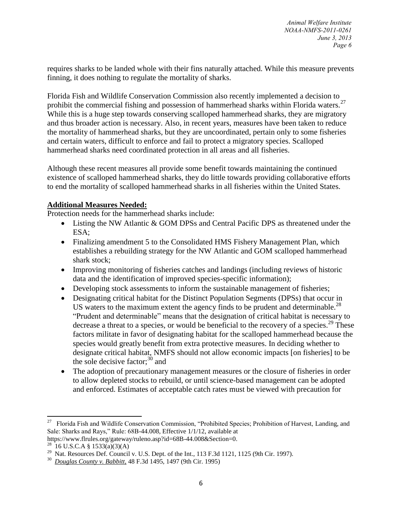requires sharks to be landed whole with their fins naturally attached. While this measure prevents finning, it does nothing to regulate the mortality of sharks.

Florida Fish and Wildlife Conservation Commission also recently implemented a decision to prohibit the commercial fishing and possession of hammerhead sharks within Florida waters.<sup>27</sup> While this is a huge step towards conserving scalloped hammerhead sharks, they are migratory and thus broader action is necessary. Also, in recent years, measures have been taken to reduce the mortality of hammerhead sharks, but they are uncoordinated, pertain only to some fisheries and certain waters, difficult to enforce and fail to protect a migratory species. Scalloped hammerhead sharks need coordinated protection in all areas and all fisheries.

Although these recent measures all provide some benefit towards maintaining the continued existence of scalloped hammerhead sharks, they do little towards providing collaborative efforts to end the mortality of scalloped hammerhead sharks in all fisheries within the United States.

### **Additional Measures Needed:**

Protection needs for the hammerhead sharks include:

- Listing the NW Atlantic & GOM DPSs and Central Pacific DPS as threatened under the ESA;
- Finalizing amendment 5 to the Consolidated HMS Fishery Management Plan, which establishes a rebuilding strategy for the NW Atlantic and GOM scalloped hammerhead shark stock;
- Improving monitoring of fisheries catches and landings (including reviews of historic data and the identification of improved species-specific information);
- Developing stock assessments to inform the sustainable management of fisheries;
- Designating critical habitat for the Distinct Population Segments (DPSs) that occur in US waters to the maximum extent the agency finds to be prudent and determinable.<sup>28</sup> "Prudent and determinable" means that the designation of critical habitat is necessary to decrease a threat to a species, or would be beneficial to the recovery of a species.<sup>29</sup> These factors militate in favor of designating habitat for the scalloped hammerhead because the species would greatly benefit from extra protective measures. In deciding whether to designate critical habitat, NMFS should not allow economic impacts [on fisheries] to be the sole decisive factor; $30$  and
- The adoption of precautionary management measures or the closure of fisheries in order to allow depleted stocks to rebuild, or until science-based management can be adopted and enforced. Estimates of acceptable catch rates must be viewed with precaution for

 $\frac{1}{27}$  Florida Fish and Wildlife Conservation Commission, "Prohibited Species; Prohibition of Harvest, Landing, and Sale: Sharks and Rays," Rule: 68B-44.008, Effective 1/1/12, available at https://www.flrules.org/gateway/ruleno.asp?id=68B-44.008&Section=0.

 $^{28}$  16 U.S.C.A [§ 1533\(a\)\(3\)\(A\)](https://1.next.westlaw.com/Link/Document/FullText?findType=L&pubNum=1000546&cite=16USCAS1533&originationContext=document&transitionType=DocumentItem&contextData=%28sc.Search%29#co_pp_51d0000021cd6)

<sup>&</sup>lt;sup>29</sup> Nat. Resources Def. Council v. U.S. Dept. of the Int., 113 F.3d 1121, 1125 (9th Cir. 1997).

<sup>30</sup> *Douglas County v. Babbitt,* 48 F.3d 1495, 1497 (9th Cir. 1995)